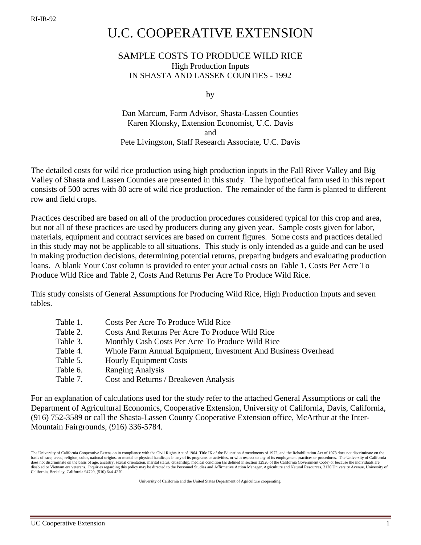## U.C. COOPERATIVE EXTENSION

## SAMPLE COSTS TO PRODUCE WILD RICE High Production Inputs IN SHASTA AND LASSEN COUNTIES - 1992

by

Dan Marcum, Farm Advisor, Shasta-Lassen Counties Karen Klonsky, Extension Economist, U.C. Davis and Pete Livingston, Staff Research Associate, U.C. Davis

The detailed costs for wild rice production using high production inputs in the Fall River Valley and Big Valley of Shasta and Lassen Counties are presented in this study. The hypothetical farm used in this report consists of 500 acres with 80 acre of wild rice production. The remainder of the farm is planted to different row and field crops.

Practices described are based on all of the production procedures considered typical for this crop and area, but not all of these practices are used by producers during any given year. Sample costs given for labor, materials, equipment and contract services are based on current figures. Some costs and practices detailed in this study may not be applicable to all situations. This study is only intended as a guide and can be used in making production decisions, determining potential returns, preparing budgets and evaluating production loans. A blank Your Cost column is provided to enter your actual costs on Table 1, Costs Per Acre To Produce Wild Rice and Table 2, Costs And Returns Per Acre To Produce Wild Rice.

This study consists of General Assumptions for Producing Wild Rice, High Production Inputs and seven tables.

| Table 1. | Costs Per Acre To Produce Wild Rice                           |
|----------|---------------------------------------------------------------|
| Table 2. | Costs And Returns Per Acre To Produce Wild Rice               |
| Table 3. | Monthly Cash Costs Per Acre To Produce Wild Rice              |
| Table 4. | Whole Farm Annual Equipment, Investment And Business Overhead |
| Table 5. | <b>Hourly Equipment Costs</b>                                 |
| Table 6. | <b>Ranging Analysis</b>                                       |
| Table 7. | Cost and Returns / Breakeven Analysis                         |

For an explanation of calculations used for the study refer to the attached General Assumptions or call the Department of Agricultural Economics, Cooperative Extension, University of California, Davis, California, (916) 752-3589 or call the Shasta-Lassen County Cooperative Extension office, McArthur at the Inter-Mountain Fairgrounds, (916) 336-5784.

University of California and the United States Department of Agriculture cooperating.

The University of California Cooperative Extension in compliance with the Civil Rights Act of 1964. Title IX of the Education Amendments of 1972, and the Rehabilitation Act of 1973 does not discriminate on the basis of race, creed, religion, color, national origins, or mental or physical handicaps in any of its programs or activities, or with respect to any of its employment practices or procedures. The University of California<br> disabled or Vietnam era veterans. Inquiries regarding this policy may be directed to the Personnel Studies and Affirmative Action Manager, Agriculture and Natural Resources, 2120 University Avenue, University of California, Berkeley, California 94720, (510) 644-4270.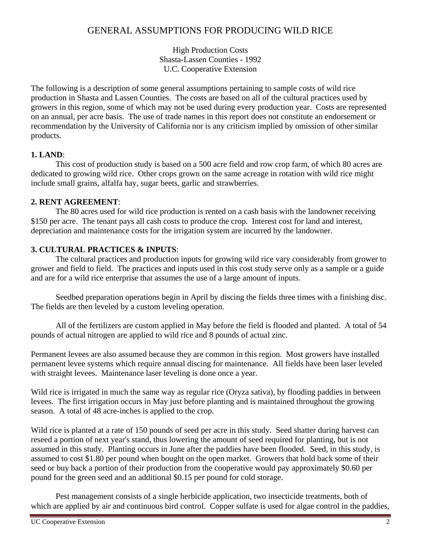## GENERAL ASSUMPTIONS FOR PRODUCING WILD RICE

High Production Costs Shasta-Lassen Counties - 1992 U.C. Cooperative Extension

The following is a description of some general assumptions pertaining to sample costs of wild rice production in Shasta and Lassen Counties. The costs are based on all of the cultural practices used by growers in this region, some of which may not be used during every production year. Costs are represented on an annual, per acre basis. The use of trade names in this report does not constitute an endorsement or recommendation by the University of California nor is any criticism implied by omission of other similar products.

## **1. LAND**:

This cost of production study is based on a 500 acre field and row crop farm, of which 80 acres are dedicated to growing wild rice. Other crops grown on the same acreage in rotation with wild rice might include small grains, alfalfa hay, sugar beets, garlic and strawberries.

## **2. RENT AGREEMENT**:

The 80 acres used for wild rice production is rented on a cash basis with the landowner receiving \$150 per acre. The tenant pays all cash costs to produce the crop. Interest cost for land and interest, depreciation and maintenance costs for the irrigation system are incurred by the landowner.

## **3. CULTURAL PRACTICES & INPUTS**:

The cultural practices and production inputs for growing wild rice vary considerably from grower to grower and field to field. The practices and inputs used in this cost study serve only as a sample or a guide and are for a wild rice enterprise that assumes the use of a large amount of inputs.

Seedbed preparation operations begin in April by discing the fields three times with a finishing disc. The fields are then leveled by a custom leveling operation.

All of the fertilizers are custom applied in May before the field is flooded and planted. A total of 54 pounds of actual nitrogen are applied to wild rice and 8 pounds of actual zinc.

Permanent levees are also assumed because they are common in this region. Most growers have installed permanent levee systems which require annual discing for maintenance. All fields have been laser leveled with straight levees. Maintenance laser leveling is done once a year.

Wild rice is irrigated in much the same way as regular rice (Oryza sativa), by flooding paddies in between levees. The first irrigation occurs in May just before planting and is maintained throughout the growing season. A total of 48 acre-inches is applied to the crop.

Wild rice is planted at a rate of 150 pounds of seed per acre in this study. Seed shatter during harvest can reseed a portion of next year's stand, thus lowering the amount of seed required for planting, but is not assumed in this study. Planting occurs in June after the paddies have been flooded. Seed, in this study, is assumed to cost \$1.80 per pound when bought on the open market. Growers that hold back some of their seed or buy back a portion of their production from the cooperative would pay approximately \$0.60 per pound for the green seed and an additional \$0.15 per pound for cold storage.

Pest management consists of a single herbicide application, two insecticide treatments, both of which are applied by air and continuous bird control. Copper sulfate is used for algae control in the paddies,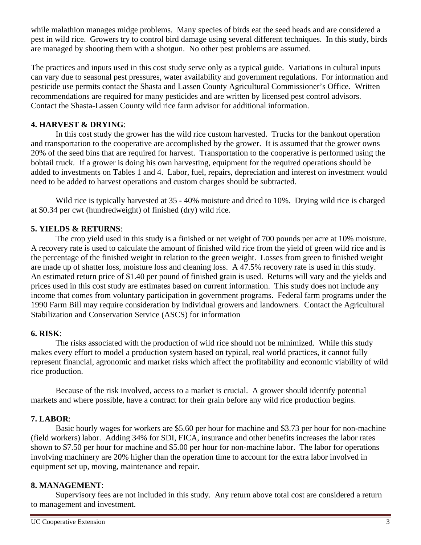while malathion manages midge problems. Many species of birds eat the seed heads and are considered a pest in wild rice. Growers try to control bird damage using several different techniques. In this study, birds are managed by shooting them with a shotgun. No other pest problems are assumed.

The practices and inputs used in this cost study serve only as a typical guide. Variations in cultural inputs can vary due to seasonal pest pressures, water availability and government regulations. For information and pesticide use permits contact the Shasta and Lassen County Agricultural Commissioner's Office. Written recommendations are required for many pesticides and are written by licensed pest control advisors. Contact the Shasta-Lassen County wild rice farm advisor for additional information.

## **4. HARVEST & DRYING**:

In this cost study the grower has the wild rice custom harvested. Trucks for the bankout operation and transportation to the cooperative are accomplished by the grower. It is assumed that the grower owns 20% of the seed bins that are required for harvest. Transportation to the cooperative is performed using the bobtail truck. If a grower is doing his own harvesting, equipment for the required operations should be added to investments on Tables 1 and 4. Labor, fuel, repairs, depreciation and interest on investment would need to be added to harvest operations and custom charges should be subtracted.

Wild rice is typically harvested at 35 - 40% moisture and dried to 10%. Drying wild rice is charged at \$0.34 per cwt (hundredweight) of finished (dry) wild rice.

## **5. YIELDS & RETURNS**:

The crop yield used in this study is a finished or net weight of 700 pounds per acre at 10% moisture. A recovery rate is used to calculate the amount of finished wild rice from the yield of green wild rice and is the percentage of the finished weight in relation to the green weight. Losses from green to finished weight are made up of shatter loss, moisture loss and cleaning loss. A 47.5% recovery rate is used in this study. An estimated return price of \$1.40 per pound of finished grain is used. Returns will vary and the yields and prices used in this cost study are estimates based on current information. This study does not include any income that comes from voluntary participation in government programs. Federal farm programs under the 1990 Farm Bill may require consideration by individual growers and landowners. Contact the Agricultural Stabilization and Conservation Service (ASCS) for information

## **6. RISK**:

The risks associated with the production of wild rice should not be minimized. While this study makes every effort to model a production system based on typical, real world practices, it cannot fully represent financial, agronomic and market risks which affect the profitability and economic viability of wild rice production.

Because of the risk involved, access to a market is crucial. A grower should identify potential markets and where possible, have a contract for their grain before any wild rice production begins.

## **7. LABOR**:

Basic hourly wages for workers are \$5.60 per hour for machine and \$3.73 per hour for non-machine (field workers) labor. Adding 34% for SDI, FICA, insurance and other benefits increases the labor rates shown to \$7.50 per hour for machine and \$5.00 per hour for non-machine labor. The labor for operations involving machinery are 20% higher than the operation time to account for the extra labor involved in equipment set up, moving, maintenance and repair.

## **8. MANAGEMENT**:

Supervisory fees are not included in this study. Any return above total cost are considered a return to management and investment.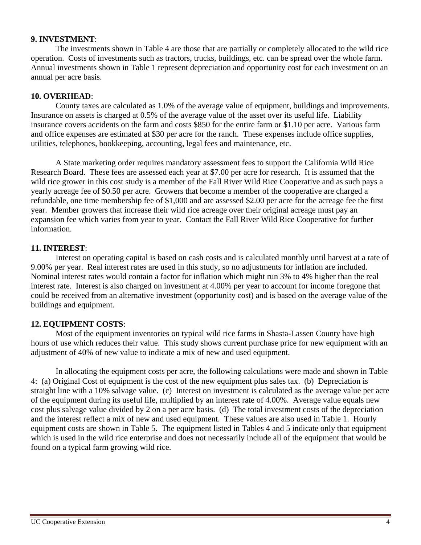### **9. INVESTMENT**:

The investments shown in Table 4 are those that are partially or completely allocated to the wild rice operation. Costs of investments such as tractors, trucks, buildings, etc. can be spread over the whole farm. Annual investments shown in Table 1 represent depreciation and opportunity cost for each investment on an annual per acre basis.

## **10. OVERHEAD**:

County taxes are calculated as 1.0% of the average value of equipment, buildings and improvements. Insurance on assets is charged at 0.5% of the average value of the asset over its useful life. Liability insurance covers accidents on the farm and costs \$850 for the entire farm or \$1.10 per acre. Various farm and office expenses are estimated at \$30 per acre for the ranch. These expenses include office supplies, utilities, telephones, bookkeeping, accounting, legal fees and maintenance, etc.

A State marketing order requires mandatory assessment fees to support the California Wild Rice Research Board. These fees are assessed each year at \$7.00 per acre for research. It is assumed that the wild rice grower in this cost study is a member of the Fall River Wild Rice Cooperative and as such pays a yearly acreage fee of \$0.50 per acre. Growers that become a member of the cooperative are charged a refundable, one time membership fee of \$1,000 and are assessed \$2.00 per acre for the acreage fee the first year. Member growers that increase their wild rice acreage over their original acreage must pay an expansion fee which varies from year to year. Contact the Fall River Wild Rice Cooperative for further information.

## **11. INTEREST**:

Interest on operating capital is based on cash costs and is calculated monthly until harvest at a rate of 9.00% per year. Real interest rates are used in this study, so no adjustments for inflation are included. Nominal interest rates would contain a factor for inflation which might run 3% to 4% higher than the real interest rate. Interest is also charged on investment at 4.00% per year to account for income foregone that could be received from an alternative investment (opportunity cost) and is based on the average value of the buildings and equipment.

## **12. EQUIPMENT COSTS**:

Most of the equipment inventories on typical wild rice farms in Shasta-Lassen County have high hours of use which reduces their value. This study shows current purchase price for new equipment with an adjustment of 40% of new value to indicate a mix of new and used equipment.

In allocating the equipment costs per acre, the following calculations were made and shown in Table 4: (a) Original Cost of equipment is the cost of the new equipment plus sales tax. (b) Depreciation is straight line with a 10% salvage value. (c) Interest on investment is calculated as the average value per acre of the equipment during its useful life, multiplied by an interest rate of 4.00%. Average value equals new cost plus salvage value divided by 2 on a per acre basis. (d) The total investment costs of the depreciation and the interest reflect a mix of new and used equipment. These values are also used in Table 1. Hourly equipment costs are shown in Table 5. The equipment listed in Tables 4 and 5 indicate only that equipment which is used in the wild rice enterprise and does not necessarily include all of the equipment that would be found on a typical farm growing wild rice.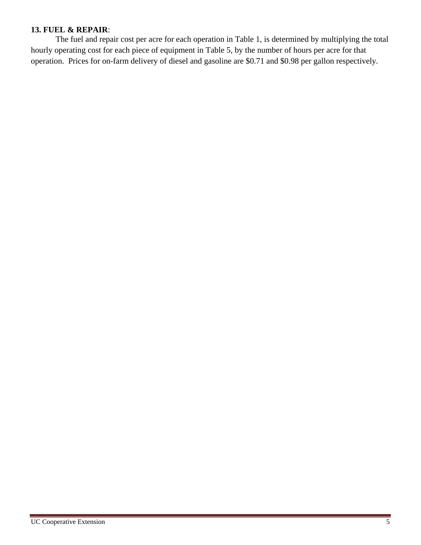## **13. FUEL & REPAIR**:

The fuel and repair cost per acre for each operation in Table 1, is determined by multiplying the total hourly operating cost for each piece of equipment in Table 5, by the number of hours per acre for that operation. Prices for on-farm delivery of diesel and gasoline are \$0.71 and \$0.98 per gallon respectively.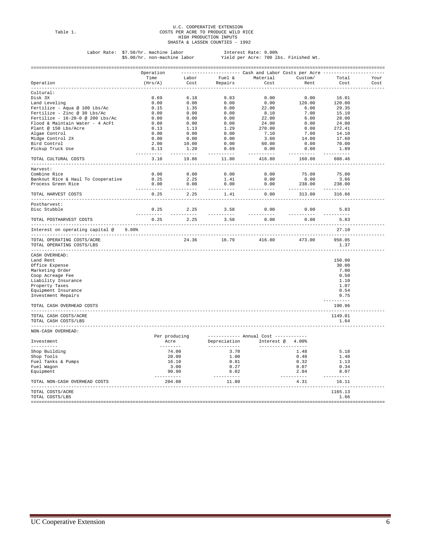# U.C. COOPERATIVE EXTENSION<br>Table 1. COSTS PER ACRE TO PRODUCE WILD RICE<br>HIGH PRODUCTION INPUTS<br>SHASTA & LASSEN COUNTIES - 1992

Labor Rate: \$7.50/hr. machine labor Interest Rate: 9.00% \$5.00/hr. non-machine labor Yield per Acre: 700 lbs. Finished Wt.

|                                                         | Operation            |                                                                                                                                                                                                                                                                                                                                                               |                               | --------------------- Cash and Labor Costs per Acre ---                                                                                                                                                                                                                                                 |                                                                                                                                                                                                                                                                                                                                                                                                                                                                                                |                             |      |
|---------------------------------------------------------|----------------------|---------------------------------------------------------------------------------------------------------------------------------------------------------------------------------------------------------------------------------------------------------------------------------------------------------------------------------------------------------------|-------------------------------|---------------------------------------------------------------------------------------------------------------------------------------------------------------------------------------------------------------------------------------------------------------------------------------------------------|------------------------------------------------------------------------------------------------------------------------------------------------------------------------------------------------------------------------------------------------------------------------------------------------------------------------------------------------------------------------------------------------------------------------------------------------------------------------------------------------|-----------------------------|------|
|                                                         | Time                 | Labor                                                                                                                                                                                                                                                                                                                                                         |                               | Fuel & Material Custom/                                                                                                                                                                                                                                                                                 |                                                                                                                                                                                                                                                                                                                                                                                                                                                                                                | Total                       | Your |
| Operation                                               | (Hrs/A)              | Cost                                                                                                                                                                                                                                                                                                                                                          | Repairs                       | Cost                                                                                                                                                                                                                                                                                                    | Rent                                                                                                                                                                                                                                                                                                                                                                                                                                                                                           | Cost                        | Cost |
| <u>uuuuuuuuu</u><br>Cultural:                           |                      |                                                                                                                                                                                                                                                                                                                                                               |                               |                                                                                                                                                                                                                                                                                                         |                                                                                                                                                                                                                                                                                                                                                                                                                                                                                                |                             |      |
| Disk 3X                                                 | 0.69                 | 6.18                                                                                                                                                                                                                                                                                                                                                          | 9.83                          | 0.00                                                                                                                                                                                                                                                                                                    | 0.00                                                                                                                                                                                                                                                                                                                                                                                                                                                                                           | 16.01                       |      |
|                                                         |                      |                                                                                                                                                                                                                                                                                                                                                               |                               |                                                                                                                                                                                                                                                                                                         |                                                                                                                                                                                                                                                                                                                                                                                                                                                                                                |                             |      |
| Land Leveling                                           | 0.00                 |                                                                                                                                                                                                                                                                                                                                                               |                               |                                                                                                                                                                                                                                                                                                         | 120.00                                                                                                                                                                                                                                                                                                                                                                                                                                                                                         | 120.00                      |      |
| Fertilize - Aqua @ 100 Lbs/Ac                           | 0.15                 |                                                                                                                                                                                                                                                                                                                                                               |                               |                                                                                                                                                                                                                                                                                                         | 6.00                                                                                                                                                                                                                                                                                                                                                                                                                                                                                           | 29.35                       |      |
| Fertilize - Zinc @ 30 Lbs/Ac                            | 0.00                 |                                                                                                                                                                                                                                                                                                                                                               |                               |                                                                                                                                                                                                                                                                                                         | 7.00                                                                                                                                                                                                                                                                                                                                                                                                                                                                                           | 15.10                       |      |
| Fertilize - $16-20-0$ @ 200 Lbs/Ac                      | 0.00                 |                                                                                                                                                                                                                                                                                                                                                               |                               |                                                                                                                                                                                                                                                                                                         | 6.00                                                                                                                                                                                                                                                                                                                                                                                                                                                                                           | 28.00                       |      |
| Flood & Maintain Water - 4 AcFt                         | 0.00                 |                                                                                                                                                                                                                                                                                                                                                               |                               |                                                                                                                                                                                                                                                                                                         | 0.00                                                                                                                                                                                                                                                                                                                                                                                                                                                                                           | 24.00                       |      |
| Plant @ 150 Lbs/Acre                                    | 0.13                 |                                                                                                                                                                                                                                                                                                                                                               |                               |                                                                                                                                                                                                                                                                                                         | 0.00                                                                                                                                                                                                                                                                                                                                                                                                                                                                                           | 272.41                      |      |
| Algae Control                                           | 0.00                 |                                                                                                                                                                                                                                                                                                                                                               |                               |                                                                                                                                                                                                                                                                                                         | 7.00                                                                                                                                                                                                                                                                                                                                                                                                                                                                                           | 14.10                       |      |
| Midge Control 2X                                        | 0.00                 |                                                                                                                                                                                                                                                                                                                                                               |                               |                                                                                                                                                                                                                                                                                                         | 14.00                                                                                                                                                                                                                                                                                                                                                                                                                                                                                          | 17.60                       |      |
| Bird Control                                            | 2.00                 |                                                                                                                                                                                                                                                                                                                                                               |                               |                                                                                                                                                                                                                                                                                                         | 0.00                                                                                                                                                                                                                                                                                                                                                                                                                                                                                           | 70.00                       |      |
| Pickup Truck Use                                        | 0.13                 |                                                                                                                                                                                                                                                                                                                                                               |                               |                                                                                                                                                                                                                                                                                                         | 0.00                                                                                                                                                                                                                                                                                                                                                                                                                                                                                           | 1.89                        |      |
|                                                         | ----------           | .                                                                                                                                                                                                                                                                                                                                                             | -----------                   | $\begin{array}{cccc} 6.18 & 9.83 & 0.00 \\ 0.00 & 0.00 & 0.00 \\ 1.35 & 0.00 & 22.00 \\ 0.00 & 0.00 & 8.10 \\ 0.00 & 0.00 & 22.00 \\ 0.00 & 0.00 & 22.00 \\ 1.13 & 1.29 & 270.00 \\ 0.00 & 0.00 & 7.10 \\ 0.00 & 0.00 & 3.60 \\ 10.00 & 0.00 & 3.60 \\ 10.00 & 0.00 & 60.00 \\ -1.20 & $<br>----------- | ----------                                                                                                                                                                                                                                                                                                                                                                                                                                                                                     | ----------                  |      |
| TOTAL CULTURAL COSTS<br>_____________________           | 3.10<br>------       | 19.86<br>-------                                                                                                                                                                                                                                                                                                                                              | 11.80<br>---------            | 416.80                                                                                                                                                                                                                                                                                                  | 160.00                                                                                                                                                                                                                                                                                                                                                                                                                                                                                         | 608.46                      |      |
| Harvest:                                                |                      |                                                                                                                                                                                                                                                                                                                                                               |                               |                                                                                                                                                                                                                                                                                                         |                                                                                                                                                                                                                                                                                                                                                                                                                                                                                                |                             |      |
| Combine Rice                                            | 0.00                 | 0.00                                                                                                                                                                                                                                                                                                                                                          | 0.00                          |                                                                                                                                                                                                                                                                                                         | 75.00                                                                                                                                                                                                                                                                                                                                                                                                                                                                                          | 75.00                       |      |
| Bankout Rice & Haul To Cooperative                      | 0.25                 | 2.25                                                                                                                                                                                                                                                                                                                                                          | 1.41                          | $0.00$<br>$0.00$                                                                                                                                                                                                                                                                                        |                                                                                                                                                                                                                                                                                                                                                                                                                                                                                                | 3.66                        |      |
| Process Green Rice                                      | 0.00                 | 0.00                                                                                                                                                                                                                                                                                                                                                          | 0.00                          | $0.00$<br>$0.00$                                                                                                                                                                                                                                                                                        | $0.00$<br>238.00                                                                                                                                                                                                                                                                                                                                                                                                                                                                               | 238.00                      |      |
|                                                         | ----------           | $\frac{1}{2} \left( \frac{1}{2} \left( \frac{1}{2} \left( \frac{1}{2} \left( \frac{1}{2} \left( \frac{1}{2} \left( \frac{1}{2} \right) - \frac{1}{2} \left( \frac{1}{2} \right) \right) \right) + \frac{1}{2} \left( \frac{1}{2} \left( \frac{1}{2} \left( \frac{1}{2} \right) - \frac{1}{2} \left( \frac{1}{2} \right) \right) \right) \right) }{2} \right)$ | ---------                     | ---------                                                                                                                                                                                                                                                                                               | ----------                                                                                                                                                                                                                                                                                                                                                                                                                                                                                     | ---------                   |      |
| TOTAL HARVEST COSTS                                     | 0.25                 | 2.25                                                                                                                                                                                                                                                                                                                                                          | 1.41                          | 0.00                                                                                                                                                                                                                                                                                                    | 313.00                                                                                                                                                                                                                                                                                                                                                                                                                                                                                         | 316.66                      |      |
| Postharvest:                                            |                      |                                                                                                                                                                                                                                                                                                                                                               |                               |                                                                                                                                                                                                                                                                                                         |                                                                                                                                                                                                                                                                                                                                                                                                                                                                                                |                             |      |
| Disc Stubble                                            | 0.25<br>----------   | 2.25<br>----------                                                                                                                                                                                                                                                                                                                                            | 3.58<br>----------            | 0.00<br>----------                                                                                                                                                                                                                                                                                      | 0.00<br>----------                                                                                                                                                                                                                                                                                                                                                                                                                                                                             | 5.83<br>----------          |      |
| TOTAL POSTHARVEST COSTS                                 | 0.25                 | 2.25                                                                                                                                                                                                                                                                                                                                                          | 3.58                          | 0.00                                                                                                                                                                                                                                                                                                    | 0.00                                                                                                                                                                                                                                                                                                                                                                                                                                                                                           | 5.83                        |      |
| Interest on operating capital @<br>$9.00$ <sup>8</sup>  |                      |                                                                                                                                                                                                                                                                                                                                                               |                               |                                                                                                                                                                                                                                                                                                         |                                                                                                                                                                                                                                                                                                                                                                                                                                                                                                | 27.10                       |      |
| TOTAL OPERATING COSTS/ACRE<br>TOTAL OPERATING COSTS/LBS |                      |                                                                                                                                                                                                                                                                                                                                                               | 24.36 16.79                   | 416.80                                                                                                                                                                                                                                                                                                  | 473.00                                                                                                                                                                                                                                                                                                                                                                                                                                                                                         | ---------<br>958.05<br>1.37 |      |
| CASH OVERHEAD:                                          |                      |                                                                                                                                                                                                                                                                                                                                                               |                               |                                                                                                                                                                                                                                                                                                         |                                                                                                                                                                                                                                                                                                                                                                                                                                                                                                |                             |      |
| Land Rent                                               |                      |                                                                                                                                                                                                                                                                                                                                                               |                               |                                                                                                                                                                                                                                                                                                         |                                                                                                                                                                                                                                                                                                                                                                                                                                                                                                | 150.00                      |      |
| Office Expense                                          |                      |                                                                                                                                                                                                                                                                                                                                                               |                               |                                                                                                                                                                                                                                                                                                         |                                                                                                                                                                                                                                                                                                                                                                                                                                                                                                | 30.00                       |      |
|                                                         |                      |                                                                                                                                                                                                                                                                                                                                                               |                               |                                                                                                                                                                                                                                                                                                         |                                                                                                                                                                                                                                                                                                                                                                                                                                                                                                | 7.00                        |      |
| Marketing Order                                         |                      |                                                                                                                                                                                                                                                                                                                                                               |                               |                                                                                                                                                                                                                                                                                                         |                                                                                                                                                                                                                                                                                                                                                                                                                                                                                                |                             |      |
| Coop Acreage Fee                                        |                      |                                                                                                                                                                                                                                                                                                                                                               |                               |                                                                                                                                                                                                                                                                                                         |                                                                                                                                                                                                                                                                                                                                                                                                                                                                                                | 0.50                        |      |
| Liability Insurance                                     |                      |                                                                                                                                                                                                                                                                                                                                                               |                               |                                                                                                                                                                                                                                                                                                         |                                                                                                                                                                                                                                                                                                                                                                                                                                                                                                | 1.10                        |      |
| Property Taxes                                          |                      |                                                                                                                                                                                                                                                                                                                                                               |                               |                                                                                                                                                                                                                                                                                                         |                                                                                                                                                                                                                                                                                                                                                                                                                                                                                                | 1.07                        |      |
| Equipment Insurance                                     |                      |                                                                                                                                                                                                                                                                                                                                                               |                               |                                                                                                                                                                                                                                                                                                         |                                                                                                                                                                                                                                                                                                                                                                                                                                                                                                | 0.54                        |      |
| Investment Repairs                                      |                      |                                                                                                                                                                                                                                                                                                                                                               |                               |                                                                                                                                                                                                                                                                                                         |                                                                                                                                                                                                                                                                                                                                                                                                                                                                                                | 0.75                        |      |
| TOTAL CASH OVERHEAD COSTS                               |                      |                                                                                                                                                                                                                                                                                                                                                               |                               |                                                                                                                                                                                                                                                                                                         |                                                                                                                                                                                                                                                                                                                                                                                                                                                                                                | ----------<br>190.96        |      |
| TOTAL CASH COSTS/ACRE                                   |                      |                                                                                                                                                                                                                                                                                                                                                               |                               |                                                                                                                                                                                                                                                                                                         |                                                                                                                                                                                                                                                                                                                                                                                                                                                                                                | 1149.01                     |      |
| TOTAL CASH COSTS/LBS<br>----------------                |                      |                                                                                                                                                                                                                                                                                                                                                               |                               |                                                                                                                                                                                                                                                                                                         |                                                                                                                                                                                                                                                                                                                                                                                                                                                                                                | 1.64                        |      |
| NON-CASH OVERHEAD:                                      |                      |                                                                                                                                                                                                                                                                                                                                                               |                               |                                                                                                                                                                                                                                                                                                         |                                                                                                                                                                                                                                                                                                                                                                                                                                                                                                |                             |      |
|                                                         | Per producing        |                                                                                                                                                                                                                                                                                                                                                               |                               | ----------- Annual Cost ------------                                                                                                                                                                                                                                                                    |                                                                                                                                                                                                                                                                                                                                                                                                                                                                                                |                             |      |
| Investment<br>----------                                |                      | Acre                                                                                                                                                                                                                                                                                                                                                          | Depreciation<br>------------- | Interest @ 4.00%                                                                                                                                                                                                                                                                                        |                                                                                                                                                                                                                                                                                                                                                                                                                                                                                                |                             |      |
|                                                         |                      |                                                                                                                                                                                                                                                                                                                                                               |                               |                                                                                                                                                                                                                                                                                                         |                                                                                                                                                                                                                                                                                                                                                                                                                                                                                                |                             |      |
| Shop Building                                           |                      | 74.00                                                                                                                                                                                                                                                                                                                                                         | 3.70                          |                                                                                                                                                                                                                                                                                                         | 1.48                                                                                                                                                                                                                                                                                                                                                                                                                                                                                           | 5.18                        |      |
| Shop Tools                                              | 20.00                |                                                                                                                                                                                                                                                                                                                                                               | 1.00                          |                                                                                                                                                                                                                                                                                                         | 0.40                                                                                                                                                                                                                                                                                                                                                                                                                                                                                           | 1.40                        |      |
| Fuel Tanks & Pumps                                      |                      | 16.10                                                                                                                                                                                                                                                                                                                                                         | 0.81                          |                                                                                                                                                                                                                                                                                                         | 0.32                                                                                                                                                                                                                                                                                                                                                                                                                                                                                           | 1.13                        |      |
| Fuel Wagon                                              |                      | 3.00                                                                                                                                                                                                                                                                                                                                                          | 0.27                          |                                                                                                                                                                                                                                                                                                         | 0.07                                                                                                                                                                                                                                                                                                                                                                                                                                                                                           | 0.34                        |      |
| Equipment                                               | 90.90                |                                                                                                                                                                                                                                                                                                                                                               | 6.02                          |                                                                                                                                                                                                                                                                                                         | 2.04                                                                                                                                                                                                                                                                                                                                                                                                                                                                                           | 8.07                        |      |
| TOTAL NON-CASH OVERHEAD COSTS                           | ----------<br>204.00 |                                                                                                                                                                                                                                                                                                                                                               | 11.80                         |                                                                                                                                                                                                                                                                                                         | $\begin{array}{cccccccccc} \multicolumn{2}{c}{} & \multicolumn{2}{c}{} & \multicolumn{2}{c}{} & \multicolumn{2}{c}{} & \multicolumn{2}{c}{} & \multicolumn{2}{c}{} & \multicolumn{2}{c}{} & \multicolumn{2}{c}{} & \multicolumn{2}{c}{} & \multicolumn{2}{c}{} & \multicolumn{2}{c}{} & \multicolumn{2}{c}{} & \multicolumn{2}{c}{} & \multicolumn{2}{c}{} & \multicolumn{2}{c}{} & \multicolumn{2}{c}{} & \multicolumn{2}{c}{} & \multicolumn{2}{c}{} & \multicolumn{2}{c}{} & \mult$<br>4.31 | ----------<br>16.11         |      |
| TOTAL COSTS/ACRE                                        |                      |                                                                                                                                                                                                                                                                                                                                                               |                               |                                                                                                                                                                                                                                                                                                         |                                                                                                                                                                                                                                                                                                                                                                                                                                                                                                | ---------<br>1165.13        |      |
| TOTAL COSTS/LBS                                         |                      |                                                                                                                                                                                                                                                                                                                                                               |                               |                                                                                                                                                                                                                                                                                                         |                                                                                                                                                                                                                                                                                                                                                                                                                                                                                                | 1.66                        |      |
|                                                         |                      |                                                                                                                                                                                                                                                                                                                                                               |                               |                                                                                                                                                                                                                                                                                                         |                                                                                                                                                                                                                                                                                                                                                                                                                                                                                                |                             |      |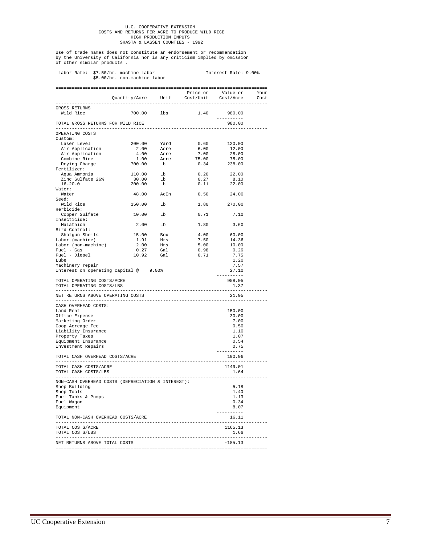## U.C. COOPERATIVE EXTENSION COSTS AND RETURNS PER ACRE TO PRODUCE WILD RICE HIGH PRODUCTION INPUTS SHASTA & LASSEN COUNTIES - 1992

Use of trade names does not constitute an endorsement or recommendation by the University of California nor is any criticism implied by omission of other similar products .

|                                                                      |              | \$5.00/hr. non-machine labor                                                                            |                        |                                                                                                                                                               |                              |  |
|----------------------------------------------------------------------|--------------|---------------------------------------------------------------------------------------------------------|------------------------|---------------------------------------------------------------------------------------------------------------------------------------------------------------|------------------------------|--|
|                                                                      |              |                                                                                                         |                        |                                                                                                                                                               |                              |  |
|                                                                      |              | . _ _ _ _ _ _ _ _ _ _ _ _ _ _ _ _                                                                       |                        |                                                                                                                                                               |                              |  |
| GROSS RETURNS                                                        |              |                                                                                                         |                        |                                                                                                                                                               |                              |  |
| Wild Rice                                                            |              | 700.00 lbs                                                                                              |                        | 1.40                                                                                                                                                          | 980.00<br>----------         |  |
| TOTAL GROSS RETURNS FOR WILD RICE<br>------------------------------- |              |                                                                                                         |                        |                                                                                                                                                               | 980.00                       |  |
| OPERATING COSTS                                                      |              |                                                                                                         |                        |                                                                                                                                                               |                              |  |
| Custom:                                                              |              |                                                                                                         |                        |                                                                                                                                                               |                              |  |
| Laser Level<br>Air Application<br>Air Application<br>Combine Rice    |              | 200.00 Yard<br>2.00 Acre<br>4.00 Acre<br>1.00 Acre<br>700.00 Lb                                         |                        | 0.60                                                                                                                                                          | 120.00<br>12.00              |  |
|                                                                      |              |                                                                                                         |                        | $6.00$<br>$7.00$                                                                                                                                              | 28.00                        |  |
|                                                                      |              |                                                                                                         |                        | $7.00$<br>$75.00$<br>0.33                                                                                                                                     | 75.00                        |  |
| Drying Charge                                                        |              |                                                                                                         |                        |                                                                                                                                                               | $0.34$ 238.00                |  |
| Fertilizer:                                                          |              |                                                                                                         |                        |                                                                                                                                                               |                              |  |
| rtillizei<br>Aqua Ammonia<br>Zinc Sulfate 26%                        |              |                                                                                                         |                        | $\begin{array}{cccc} 110.00 & & \text{Lb} & & 0.20 & & 22.00 \\ 30.00 & & \text{Lb} & & 0.27 & & 8.10 \\ 200.00 & & \text{Lb} & & 0.11 & & 22.00 \end{array}$ |                              |  |
|                                                                      |              |                                                                                                         |                        |                                                                                                                                                               |                              |  |
| $16 - 20 - 0$                                                        |              |                                                                                                         |                        |                                                                                                                                                               |                              |  |
| Water:                                                               |              |                                                                                                         |                        |                                                                                                                                                               |                              |  |
| Water                                                                |              |                                                                                                         |                        | 48.00 AcIn 0.50 24.00                                                                                                                                         |                              |  |
| Seed:                                                                |              |                                                                                                         |                        |                                                                                                                                                               |                              |  |
| Wild Rice                                                            |              | 150.00 Lb                                                                                               |                        |                                                                                                                                                               | 1.80 270.00                  |  |
| Herbicide:                                                           |              |                                                                                                         |                        |                                                                                                                                                               |                              |  |
| Copper Sulfate                                                       |              | 10.00 Lb                                                                                                |                        | $0.71$ $7.10$                                                                                                                                                 |                              |  |
| Insecticide:                                                         |              |                                                                                                         |                        |                                                                                                                                                               |                              |  |
| Malathion                                                            |              | $2.00$ Lb                                                                                               |                        | 1.80                                                                                                                                                          | 3.60                         |  |
| Bird Control:                                                        |              |                                                                                                         |                        |                                                                                                                                                               |                              |  |
| Shotgun Shells<br>Labor (machine)                                    |              |                                                                                                         |                        | $\frac{4.00}{7.50}$                                                                                                                                           | $60.00$<br>$14.36$           |  |
|                                                                      |              |                                                                                                         |                        |                                                                                                                                                               |                              |  |
| Labor (non-machine)<br>Fuel - Gas                                    |              |                                                                                                         |                        | 5.00                                                                                                                                                          | 10.00                        |  |
|                                                                      |              |                                                                                                         |                        | 0.98                                                                                                                                                          | 0.26                         |  |
| Fuel - Diesel                                                        |              | $\begin{tabular}{cc}15.00 & Box \\ 1.91 & Hrs \\ 2.00 & Hrs \\ 0.27 & Gal \\ 10.92 & Gal \end{tabular}$ |                        | 0.71                                                                                                                                                          | 7.75                         |  |
| Lube                                                                 |              |                                                                                                         |                        |                                                                                                                                                               | 1.20                         |  |
| Machinery repair                                                     |              |                                                                                                         |                        |                                                                                                                                                               | 7.57                         |  |
|                                                                      |              | Interest on operating capital @ 9.00%                                                                   |                        |                                                                                                                                                               | 27.10                        |  |
| TOTAL OPERATING COSTS/ACRE<br>TOTAL OPERATING COSTS/LBS              |              |                                                                                                         |                        |                                                                                                                                                               | ----------<br>958.05<br>1.37 |  |
| ------------------------------<br>NET RETURNS ABOVE OPERATING COSTS  |              |                                                                                                         |                        | -------------------                                                                                                                                           | 21.95                        |  |
| ______________________________________                               |              |                                                                                                         |                        |                                                                                                                                                               |                              |  |
| CASH OVERHEAD COSTS:<br>Land Rent                                    |              |                                                                                                         |                        |                                                                                                                                                               | 150.00                       |  |
| Office Expense                                                       |              |                                                                                                         |                        |                                                                                                                                                               | 30.00                        |  |
| Marketing Order                                                      |              |                                                                                                         |                        |                                                                                                                                                               | 7.00                         |  |
| Coop Acreage Fee                                                     |              |                                                                                                         |                        |                                                                                                                                                               | 0.50                         |  |
| Liability Insurance                                                  |              |                                                                                                         |                        |                                                                                                                                                               | 1.10                         |  |
| Property Taxes                                                       |              |                                                                                                         |                        |                                                                                                                                                               | 1.07                         |  |
| Equipment Insurance                                                  |              |                                                                                                         |                        |                                                                                                                                                               | 0.54                         |  |
| Investment Repairs                                                   |              |                                                                                                         |                        |                                                                                                                                                               | 0.75                         |  |
|                                                                      |              |                                                                                                         |                        |                                                                                                                                                               | --------                     |  |
| TOTAL CASH OVERHEAD COSTS/ACRE<br>.                                  |              |                                                                                                         |                        |                                                                                                                                                               | 190.96                       |  |
| TOTAL CASH COSTS/ACRE                                                |              |                                                                                                         |                        |                                                                                                                                                               | 1149.01                      |  |
| TOTAL CASH COSTS/LBS                                                 |              |                                                                                                         |                        |                                                                                                                                                               | 1.64                         |  |
| ------------------                                                   |              | NON-CASH OVERHEAD COSTS (DEPRECIATION & INTEREST):                                                      |                        |                                                                                                                                                               | --------                     |  |
| Shop Building                                                        |              |                                                                                                         |                        |                                                                                                                                                               | 5.18                         |  |
| Shop Tools                                                           |              |                                                                                                         |                        |                                                                                                                                                               | 1.40                         |  |
| Fuel Tanks & Pumps                                                   |              |                                                                                                         |                        |                                                                                                                                                               | 1.13                         |  |
| Fuel Wagon                                                           |              |                                                                                                         |                        |                                                                                                                                                               | 0.34                         |  |
| Equipment                                                            |              |                                                                                                         |                        |                                                                                                                                                               | 8.07                         |  |
| TOTAL NON-CASH OVERHEAD COSTS/ACRE                                   |              |                                                                                                         |                        |                                                                                                                                                               | . _ _ _ _ _ _ _ _ _<br>16.11 |  |
|                                                                      |              |                                                                                                         |                        | -----------------                                                                                                                                             | -------------                |  |
| TOTAL COSTS/ACRE                                                     |              |                                                                                                         |                        |                                                                                                                                                               | 1165.13                      |  |
| TOTAL COSTS/LBS                                                      | . <u>.</u> . |                                                                                                         | ---------------------- |                                                                                                                                                               | 1.66                         |  |
| NET RETURNS ABOVE TOTAL COSTS                                        |              |                                                                                                         |                        |                                                                                                                                                               | $-185.13$                    |  |
|                                                                      |              |                                                                                                         |                        |                                                                                                                                                               |                              |  |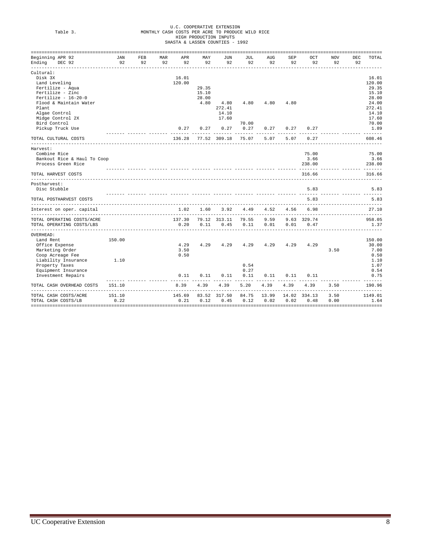# U.C. COOPERATIVE EXTENSION Table 3. MONTHLY CASH COSTS PER ACRE TO PRODUCE WILD RICE HIGH PRODUCTION INPUTS SHASTA & LASSEN COUNTIES - 1992

| -----------------------              |           |           |                  |           |           |              |           |           |           |              |                  |           |                        |
|--------------------------------------|-----------|-----------|------------------|-----------|-----------|--------------|-----------|-----------|-----------|--------------|------------------|-----------|------------------------|
| Beginning APR 92<br>Ending<br>DEC 92 | JAN<br>92 | FEB<br>92 | <b>MAR</b><br>92 | APR<br>92 | MAY<br>92 | JUN<br>92    | JUL<br>92 | AUG<br>92 | SEP<br>92 | OCT<br>92    | <b>NOV</b><br>92 | DEC<br>92 | TOTAL                  |
| Cultural:                            |           |           |                  |           |           |              |           |           |           |              |                  |           |                        |
| Disk 3X                              |           |           |                  | 16.01     |           |              |           |           |           |              |                  |           | 16.01                  |
| Land Leveling                        |           |           |                  | 120.00    |           |              |           |           |           |              |                  |           | 120.00                 |
| Fertilize - Aqua                     |           |           |                  |           | 29.35     |              |           |           |           |              |                  |           | 29.35                  |
| Fertilize - Zinc                     |           |           |                  |           | 15.10     |              |           |           |           |              |                  |           | 15.10                  |
| Fertilize - $16-20-0$                |           |           |                  |           | 28.00     |              |           |           |           |              |                  |           | 28.00                  |
| Flood & Maintain Water               |           |           |                  |           | 4.80      | 4.80         | 4.80      | 4.80      | 4.80      |              |                  |           | 24.00                  |
| Plant                                |           |           |                  |           |           | 272.41       |           |           |           |              |                  |           | 272.41                 |
| Algae Control                        |           |           |                  |           |           | 14.10        |           |           |           |              |                  |           | 14.10                  |
| Midge Control 2X                     |           |           |                  |           |           | 17.60        |           |           |           |              |                  |           | 17.60                  |
| Bird Control                         |           |           |                  |           |           |              | 70.00     |           |           |              |                  |           | 70.00                  |
| Pickup Truck Use                     |           |           |                  | 0.27      | 0.27      | 0.27         | 0.27      | 0.27      | 0.27      | 0.27         |                  |           | 1.89<br>بديد بديد بديد |
| TOTAL CULTURAL COSTS                 |           |           |                  | 136.28    |           | 77.52 309.18 | 75.07     | 5.07      | 5.07      | 0.27         |                  |           | 608.46                 |
| Harvest:                             |           |           |                  |           |           |              |           |           |           |              |                  |           |                        |
| Combine Rice                         |           |           |                  |           |           |              |           |           |           | 75.00        |                  |           | 75.00                  |
| Bankout Rice & Haul To Coop          |           |           |                  |           |           |              |           |           |           | 3.66         |                  |           | 3.66                   |
| Process Green Rice                   |           |           |                  |           |           |              |           |           |           | 238.00       |                  |           | 238.00                 |
| TOTAL HARVEST COSTS                  |           |           |                  |           |           |              |           |           |           | 316.66       |                  |           | 316.66                 |
| Postharvest:                         |           |           |                  |           |           |              |           |           |           |              |                  |           |                        |
| Disc Stubble                         |           |           |                  |           |           |              |           |           |           | 5.83         |                  |           | 5.83                   |
| TOTAL POSTHARVEST COSTS              |           |           |                  |           |           |              |           |           |           | 5.83         |                  |           | 5.83                   |
| Interest on oper. capital            |           |           |                  | 1.02      | 1.60      | 3.92         | 4.49      | 4.52      | 4.56      | 6.98         |                  |           | 27.10                  |
| TOTAL OPERATING COSTS/ACRE           |           |           |                  | 137.30    |           | 79.12 313.11 | 79.55     | 9.59      |           | 9.63 329.74  |                  |           | 958.05                 |
| TOTAL OPERATING COSTS/LBS            |           |           |                  | 0.20      | 0.11      | 0.45         | 0.11      | 0.01      | 0.01      | 0.47         |                  |           | 1.37                   |
| OVERHEAD:                            |           |           |                  |           |           |              |           |           |           |              |                  |           |                        |
| Land Rent                            | 150.00    |           |                  |           |           |              |           |           |           |              |                  |           | 150.00                 |
| Office Expense                       |           |           |                  | 4.29      | 4.29      | 4.29         | 4.29      | 4.29      | 4.29      | 4.29         |                  |           | 30.00                  |
| Marketing Order                      |           |           |                  | 3.50      |           |              |           |           |           |              | 3.50             |           | 7.00                   |
| Coop Acreage Fee                     |           |           |                  | 0.50      |           |              |           |           |           |              |                  |           | 0.50                   |
| Liability Insurance                  | 1.10      |           |                  |           |           |              |           |           |           |              |                  |           | 1.10                   |
| Property Taxes                       |           |           |                  |           |           |              | 0.54      |           |           |              |                  |           | 1.07                   |
| Equipment Insurance                  |           |           |                  |           |           |              | 0.27      |           |           |              |                  |           | 0.54                   |
| Investment Repairs                   |           |           |                  | 0.11      | 0.11      | 0.11         | 0.11      | 0.11      | 0.11      | 0.11         |                  |           | 0.75                   |
| TOTAL CASH OVERHEAD COSTS            | 151.10    |           |                  | 8.39      | 4.39      | 4.39         | 5.20      | 4.39      | 4.39      | 4.39         | 3.50             |           | 190.96                 |
| TOTAL CASH COSTS/ACRE                | 151.10    |           |                  | 145.69    |           | 83.52 317.50 | 84.75     | 13.99     |           | 14.02 334.13 | 3.50             |           | 1149.01                |
| TOTAL CASH COSTS/LB                  | 0.22      |           |                  | 0.21      | 0.12      | 0.45         | 0.12      | 0.02      | 0.02      | 0.48         | 0.00             |           | 1.64                   |
|                                      |           |           |                  |           |           |              |           |           |           |              |                  |           | ==========             |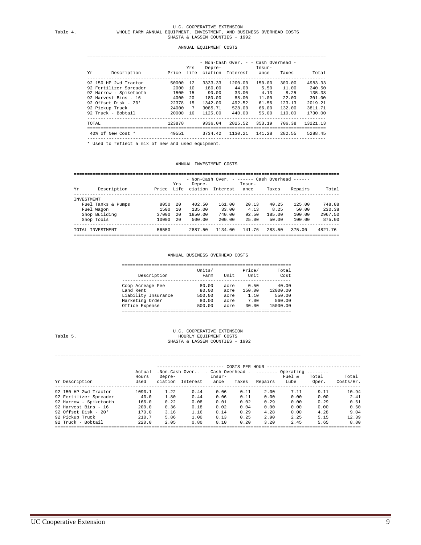## U.C. COOPERATIVE EXTENSION Table 4. WHOLE FARM ANNUAL EQUIPMENT, INVESTMENT, AND BUSINESS OVERHEAD COSTS SHASTA & LASSEN COUNTIES - 1992

### ANNUAL EQUIPMENT COSTS

 ========================================================================================= - Non-Cash Over. - - Cash Overhead -

| Υr     | Description            |          | Yrs             | Depre-  | Price Life ciation Interest | Insur-<br>ance | Taxes  | Total    |
|--------|------------------------|----------|-----------------|---------|-----------------------------|----------------|--------|----------|
|        | 92 150 HP 2wd Tractor  | 50000    | 12              | 3333.33 | 1200.00                     | 150.00         | 300.00 | 4983.33  |
|        | 92 Fertilizer Spreader | 2000     | 10              | 180.00  | 44.00                       | 5.50           | 11.00  | 240.50   |
|        | 92 Harrow - Spiketooth | 1500     | - 1.5           | 90.00   | 33.00                       | 4.13           | 8.25   | 135.38   |
|        | 92 Harvest Bins - 16   | 4000     | 20              | 180.00  | 88.00                       | 11.00          | 22.00  | 301.00   |
|        | 92 Offset Disk - $20'$ | 22378    | 15              | 1342.00 | 492.52                      | 61.56          | 123.13 | 2019.21  |
|        | 92 Pickup Truck        | 24000    | $7\overline{ }$ | 3085.71 | 528.00                      | 66.00          | 132.00 | 3811.71  |
|        | 92 Truck - Bobtail     | 20000 16 |                 | 1125.00 | 440.00                      | 55.00          | 110.00 | 1730.00  |
| TOTAL. |                        | 123878   |                 | 9336.04 | 2825.52 353.19              |                | 706.38 | 13221.13 |
|        | 40% of New Cost *      | 49551    |                 | 3734.42 | 1130.21                     | 141.28         | 282.55 | 5288.45  |
|        |                        |          |                 |         |                             |                |        |          |

\* Used to reflect a mix of new and used equipment.

### ANNUAL INVESTMENT COSTS

| - Non-Cash Over. - ------ Cash Overhead ------ |          |                              |     |       |                    |                   |
|------------------------------------------------|----------|------------------------------|-----|-------|--------------------|-------------------|
| Insur-<br>Repairs<br>Taxes<br>ance             | Interest | Depre-<br>Price Life ciation | Yrs |       | Description        | Υr                |
|                                                |          |                              |     |       |                    | <b>TNVESTMENT</b> |
| 20.13<br>40.25<br>125.00                       | 161.00   | 402.50                       | -20 | 8050  | Fuel Tanks & Pumps |                   |
| 4.13<br>8.25<br>50.00                          | 33.00    | 135.00                       | 10  | 1500  | Fuel Wagon         |                   |
| 185.00<br>92.50<br>100.00                      | 740.00   | 1850.00                      | 20  | 37000 | Shop Building      |                   |
| 25.00<br>100.00<br>50.00                       | 200.00   | 500.00                       | -20 | 10000 | Shop Tools         |                   |
| 283.50<br>141.76<br>375.00                     | 1134.00  | 2887.50                      |     | 56550 | TOTAL INVESTMENT   |                   |

#### ANNUAL BUSINESS OVERHEAD COSTS

| Description         | Units/<br>Farm | Unit | Price/<br>Unit | Total<br>Cost |
|---------------------|----------------|------|----------------|---------------|
| Coop Acreage Fee    | 80.00          | acre | 0.50           | 40.00         |
| Land Rent           | 80.00          | acre | 150.00         | 12000.00      |
| Liability Insurance | 500.00         | acre | 1.10           | 550.00        |
| Marketing Order     | 80.00          | acre | 7.00           | 560.00        |
| Office Expense      | 500.00         | acre | 30.00          | 15000.00      |

#### U.C. COOPERATIVE EXTENSION Table 5. <br>HOURLY EQUIPMENT COSTS Table 5. HOURLY EQUIPMENT COSTS SHASTA & LASSEN COUNTIES - 1992

### ==================================================================================================================

|                        |               |                   |                                               |                | COSTS PER HOUR |         |                |                                                                                                                                                                                                                                                                                                                                                                                                                                                                                        |                    |
|------------------------|---------------|-------------------|-----------------------------------------------|----------------|----------------|---------|----------------|----------------------------------------------------------------------------------------------------------------------------------------------------------------------------------------------------------------------------------------------------------------------------------------------------------------------------------------------------------------------------------------------------------------------------------------------------------------------------------------|--------------------|
|                        | Actual        |                   | $-Non-Cash Over. - cash Overhead - --- Over-$ |                |                |         |                | $\begin{array}{cccccccccccccc} \multicolumn{2}{c}{} & \multicolumn{2}{c}{} & \multicolumn{2}{c}{} & \multicolumn{2}{c}{} & \multicolumn{2}{c}{} & \multicolumn{2}{c}{} & \multicolumn{2}{c}{} & \multicolumn{2}{c}{} & \multicolumn{2}{c}{} & \multicolumn{2}{c}{} & \multicolumn{2}{c}{} & \multicolumn{2}{c}{} & \multicolumn{2}{c}{} & \multicolumn{2}{c}{} & \multicolumn{2}{c}{} & \multicolumn{2}{c}{} & \multicolumn{2}{c}{} & \multicolumn{2}{c}{} & \multicolumn{2}{c}{} & \$ |                    |
| Yr Description         | Hours<br>Used | Depre-<br>ciation | Interest                                      | Insur-<br>ance | Taxes          | Repairs | Fuel &<br>Lube | Total<br>Oper.                                                                                                                                                                                                                                                                                                                                                                                                                                                                         | Total<br>Costs/Hr. |
| 92 150 HP 2wd Tractor  | 1090.1        | 1.22              | 0.44                                          | 0.06           | 0.11           | 2.00    | 7.11           | 9.11                                                                                                                                                                                                                                                                                                                                                                                                                                                                                   | 10.94              |
| 92 Fertilizer Spreader | 40.0          | 1.80              | 0.44                                          | 0.06           | 0.11           | 0.00    | 0.00           | 0.00                                                                                                                                                                                                                                                                                                                                                                                                                                                                                   | 2.41               |
| 92 Harrow - Spiketooth | 166.0         | 0.22              | 0.08                                          | 0.01           | 0.02           | 0.29    | 0.00           | 0.29                                                                                                                                                                                                                                                                                                                                                                                                                                                                                   | 0.61               |
| 92 Harvest Bins - 16   | 200.0         | 0.36              | 0.18                                          | 0.02           | 0.04           | 0.00    | 0.00           | 0.00                                                                                                                                                                                                                                                                                                                                                                                                                                                                                   | 0.60               |
| 92 Offset Disk - $20'$ | 170.0         | 3.16              | 1.16                                          | 0.14           | 0.29           | 4.28    | 0.00           | 4.28                                                                                                                                                                                                                                                                                                                                                                                                                                                                                   | 9.04               |
| 92 Pickup Truck        | 210.7         | 5.86              | 1.00                                          | 0.13           | 0.25           | 2.90    | 2.25           | 5.15                                                                                                                                                                                                                                                                                                                                                                                                                                                                                   | 12.39              |
| 92 Truck - Bobtail     | 220.0         | 2.05              | 0.80                                          | 0.10           | 0.20           | 3.20    | 2.45           | 5.65                                                                                                                                                                                                                                                                                                                                                                                                                                                                                   | 8.80               |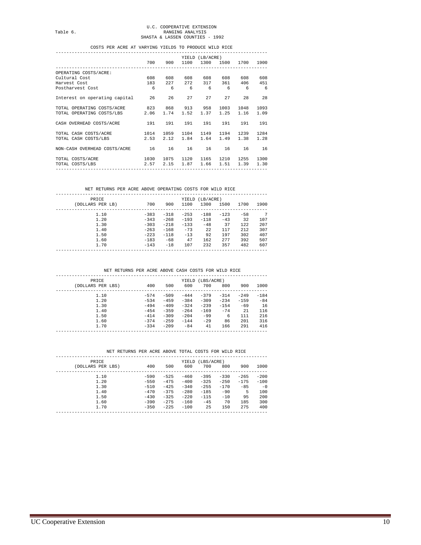### COSTS PER ACRE AT VARYING YIELDS TO PRODUCE WILD RICE

|                                                 |      |      |             | YIELD (LB/ACRE) |                |         |           |
|-------------------------------------------------|------|------|-------------|-----------------|----------------|---------|-----------|
|                                                 | 700  | 900  |             |                 | 1100 1300 1500 |         | 1700 1900 |
| OPERATING COSTS/ACRE:                           |      |      |             |                 |                |         |           |
| Cultural Cost                                   | 608  | 608  | 608         | 608             | 608            | 608     | 608       |
| Harvest Cost                                    |      |      | 183 227 272 | 317             |                | 361 406 | 451       |
| Postharvest Cost                                | 6    | - 6  | 6           | 6               |                | 66      | 6         |
| Interest on operating capital 26                |      | 26   | 27          | 27              | 27             | 28      | 28        |
| TOTAL OPERATING COSTS/ACRE 823 868 913 958 1003 |      |      |             |                 |                | 1048    | 1093      |
| TOTAL OPERATING COSTS/LBS 2.06                  |      | 1.74 |             | 1.52 1.37       | 1.25           | 1.16    | 1.09      |
| CASH OVERHEAD COSTS/ACRE                        | 191  |      | 191 191     | 191             | 191            | 191     | 191       |
| 1014<br>TOTAL CASH COSTS/ACRE                   |      | 1059 | 1104        |                 | 1149 1194      | 1239    | 1284      |
| TOTAL CASH COSTS/LBS                            | 2.53 | 2.12 | 1.84        | 1.64            | 1.49           | 1.38    | 1.28      |
| NON-CASH OVERHEAD COSTS/ACRE 16                 |      | 16   | 16          | 16              | 16 —           | 16      | 16        |
| 1030<br>TOTAL COSTS/ACRE                        |      | 1075 | 1120        | 1165            | 1210           | 1255    | 1300      |
| 2.57<br>TOTAL COSTS/LBS                         |      | 2.15 |             |                 | 1.87 1.66 1.51 | 1.39    | 1.30      |
|                                                 |      |      |             |                 |                |         |           |

### NET RETURNS PER ACRE ABOVE OPERATING COSTS FOR WILD RICE

| PRICE<br>(DOLLARS PER LB) | 700    | 900    | 1100   | YIELD (LB/ACRE)<br>1300 | 1500   | 1700  | 1900 |
|---------------------------|--------|--------|--------|-------------------------|--------|-------|------|
| 1.10                      | $-383$ | $-318$ | $-253$ | $-188$                  | $-123$ | $-58$ | 7    |
| 1.20                      | $-343$ | $-268$ | $-193$ | $-118$                  | $-43$  | 32    | 107  |
| 1.30                      | $-303$ | $-218$ | $-133$ | $-48$                   | 37     | 122   | 207  |
| 1.40                      | $-263$ | $-168$ | $-73$  | 22                      | 117    | 212   | 307  |
| 1.50                      | $-223$ | $-118$ | $-13$  | 92                      | 197    | 302   | 407  |
| 1.60                      | $-183$ | $-68$  | 47     | 162                     | 277    | 392   | 507  |
| 1.70                      | $-143$ | $-18$  | 107    | 232                     | 357    | 482   | 607  |
|                           |        |        |        |                         |        |       |      |

NET RETURNS PER ACRE ABOVE CASH COSTS FOR WILD RICE

| <b>PRTCE</b>      |        |        |        | YIELD (LBS/ACRE) |         |         |        |
|-------------------|--------|--------|--------|------------------|---------|---------|--------|
| (DOLLARS PER LBS) | 400    | 500    | 600    | 700              | 800     | 900     | 1000   |
| 1.10              | $-574$ | $-509$ | $-444$ | $-379$           | $-314$  | $-2.49$ | $-184$ |
| 1.20              | $-534$ | $-459$ | $-384$ | $-309$           | $-2.34$ | $-159$  | $-84$  |
| 1.30              | $-494$ | $-409$ | $-324$ | $-239$           | $-1.54$ | $-69$   | 16     |
| 1.40              | $-454$ | $-359$ | $-264$ | $-169$           | $-74$   | 21      | 116    |
| 1.50              | $-414$ | $-309$ | $-204$ | $-99$            | 6       | 111     | 216    |
| 1.60              | $-374$ | $-259$ | $-144$ | $-2.9$           | 86      | 201     | 316    |
| 1.70              | $-334$ | $-209$ | $-84$  | 41               | 166     | 291     | 416    |
|                   |        |        |        |                  |         |         |        |

### NET RETURNS PER ACRE ABOVE TOTAL COSTS FOR WILD RICE

| <b>PRTCE</b><br>(DOLLARS PER LBS) | 400              | 500              | 600              | YIELD (LBS/ACRE)<br>700 | 800              | 900              | 1000             |
|-----------------------------------|------------------|------------------|------------------|-------------------------|------------------|------------------|------------------|
| 1.10<br>1.20                      | $-590$<br>$-550$ | $-525$<br>$-475$ | $-460$<br>$-400$ | $-395$<br>$-325$        | $-330$<br>$-250$ | $-265$<br>$-175$ | $-200$<br>$-100$ |
| 1.30<br>1.40                      | $-510$<br>$-470$ | $-425$<br>$-375$ | $-340$<br>$-280$ | $-255$<br>$-185$        | $-170$<br>$-90$  | $-85$<br>5       | $-0$<br>100      |
| 1.50                              | $-430$           | $-325$           | $-220$           | $-115$                  | $-10$            | 95               | 200              |
| 1.60<br>1.70                      | $-390$<br>$-350$ | $-275$<br>$-225$ | $-160$<br>$-100$ | $-45$<br>25             | 70<br>150        | 185<br>275       | 300<br>400       |
|                                   |                  |                  |                  |                         |                  |                  |                  |